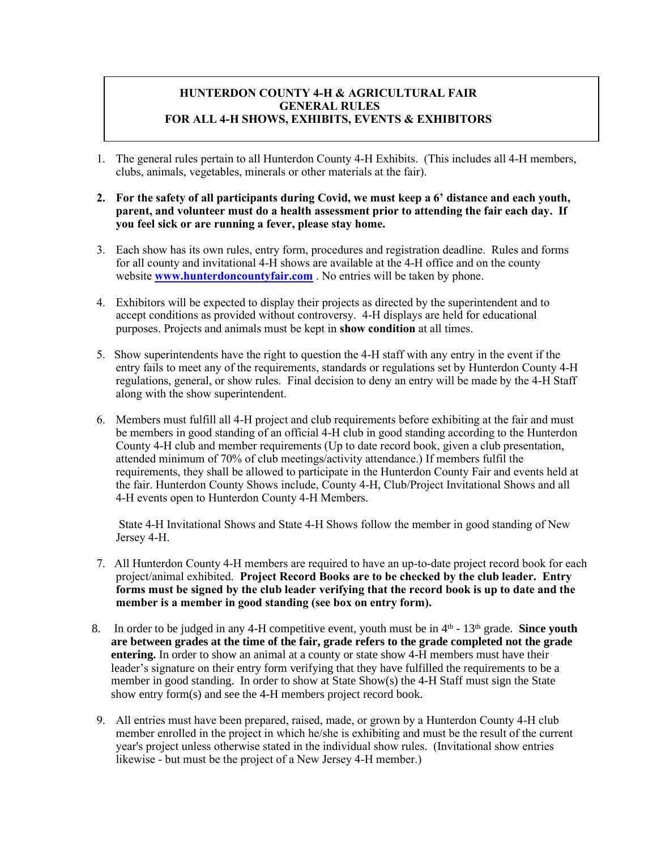## **HUNTERDON COUNTY 4-H & AGRICULTURAL FAIR GENERAL RULES FOR ALL 4-H SHOWS, EXHIBITS, EVENTS & EXHIBITORS**

- 1. The general rules pertain to all Hunterdon County 4-H Exhibits. (This includes all 4-H members, clubs, animals, vegetables, minerals or other materials at the fair).
- **2. For the safety of all participants during Covid, we must keep a 6' distance and each youth, parent, and volunteer must do a health assessment prior to attending the fair each day. If you feel sick or are running a fever, please stay home.**
- 3. Each show has its own rules, entry form, procedures and registration deadline. Rules and forms for all county and invitational 4-H shows are available at the 4-H office and on the county website **[www.hunterdoncountyfair.com](http://www.hunterdoncountyfair.com/)** . No entries will be taken by phone.
- 4. Exhibitors will be expected to display their projects as directed by the superintendent and to accept conditions as provided without controversy. 4-H displays are held for educational purposes. Projects and animals must be kept in **show condition** at all times.
- 5. Show superintendents have the right to question the 4-H staff with any entry in the event if the entry fails to meet any of the requirements, standards or regulations set by Hunterdon County 4-H regulations, general, or show rules. Final decision to deny an entry will be made by the 4-H Staff along with the show superintendent.
- 6. Members must fulfill all 4-H project and club requirements before exhibiting at the fair and must be members in good standing of an official 4-H club in good standing according to the Hunterdon County 4-H club and member requirements (Up to date record book, given a club presentation, attended minimum of 70% of club meetings/activity attendance.) If members fulfil the requirements, they shall be allowed to participate in the Hunterdon County Fair and events held at the fair. Hunterdon County Shows include, County 4-H, Club/Project Invitational Shows and all 4-H events open to Hunterdon County 4-H Members.

State 4-H Invitational Shows and State 4-H Shows follow the member in good standing of New Jersey 4-H.

- 7. All Hunterdon County 4-H members are required to have an up-to-date project record book for each project/animal exhibited. **Project Record Books are to be checked by the club leader. Entry forms must be signed by the club leader verifying that the record book is up to date and the member is a member in good standing (see box on entry form).**
- 8. In order to be judged in any 4-H competitive event, youth must be in 4<sup>th</sup> 13<sup>th</sup> grade. **Since youth are between grades at the time of the fair, grade refers to the grade completed not the grade entering.** In order to show an animal at a county or state show 4-H members must have their leader's signature on their entry form verifying that they have fulfilled the requirements to be a member in good standing. In order to show at State Show(s) the 4-H Staff must sign the State show entry form(s) and see the 4-H members project record book.
- 9. All entries must have been prepared, raised, made, or grown by a Hunterdon County 4-H club member enrolled in the project in which he/she is exhibiting and must be the result of the current year's project unless otherwise stated in the individual show rules. (Invitational show entries likewise - but must be the project of a New Jersey 4-H member.)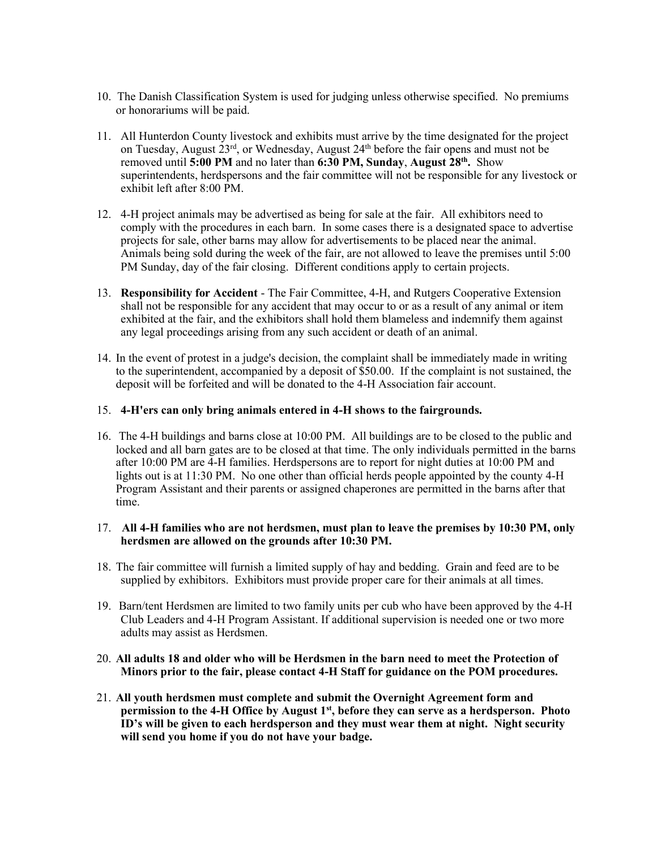- 10. The Danish Classification System is used for judging unless otherwise specified. No premiums or honorariums will be paid.
- 11. All Hunterdon County livestock and exhibits must arrive by the time designated for the project on Tuesday, August 23<sup>rd</sup>, or Wednesday, August 24<sup>th</sup> before the fair opens and must not be removed until 5:00 PM and no later than 6:30 PM, Sunday, August 28<sup>th</sup>. Show superintendents, herdspersons and the fair committee will not be responsible for any livestock or exhibit left after 8:00 PM.
- 12. 4-H project animals may be advertised as being for sale at the fair. All exhibitors need to comply with the procedures in each barn. In some cases there is a designated space to advertise projects for sale, other barns may allow for advertisements to be placed near the animal. Animals being sold during the week of the fair, are not allowed to leave the premises until 5:00 PM Sunday, day of the fair closing. Different conditions apply to certain projects.
- 13. **Responsibility for Accident** The Fair Committee, 4-H, and Rutgers Cooperative Extension shall not be responsible for any accident that may occur to or as a result of any animal or item exhibited at the fair, and the exhibitors shall hold them blameless and indemnify them against any legal proceedings arising from any such accident or death of an animal.
- 14. In the event of protest in a judge's decision, the complaint shall be immediately made in writing to the superintendent, accompanied by a deposit of \$50.00. If the complaint is not sustained, the deposit will be forfeited and will be donated to the 4-H Association fair account.

## 15. **4-H'ers can only bring animals entered in 4-H shows to the fairgrounds.**

16. The 4-H buildings and barns close at 10:00 PM. All buildings are to be closed to the public and locked and all barn gates are to be closed at that time. The only individuals permitted in the barns after 10:00 PM are 4-H families. Herdspersons are to report for night duties at 10:00 PM and lights out is at 11:30 PM. No one other than official herds people appointed by the county 4-H Program Assistant and their parents or assigned chaperones are permitted in the barns after that time.

## 17. **All 4-H families who are not herdsmen, must plan to leave the premises by 10:30 PM, only herdsmen are allowed on the grounds after 10:30 PM.**

- 18. The fair committee will furnish a limited supply of hay and bedding. Grain and feed are to be supplied by exhibitors. Exhibitors must provide proper care for their animals at all times.
- 19. Barn/tent Herdsmen are limited to two family units per cub who have been approved by the 4-H Club Leaders and 4-H Program Assistant. If additional supervision is needed one or two more adults may assist as Herdsmen.
- 20. **All adults 18 and older who will be Herdsmen in the barn need to meet the Protection of Minors prior to the fair, please contact 4-H Staff for guidance on the POM procedures.**
- 21. **All youth herdsmen must complete and submit the Overnight Agreement form and permission to the 4-H Office by August 1st , before they can serve as a herdsperson. Photo ID's will be given to each herdsperson and they must wear them at night. Night security will send you home if you do not have your badge.**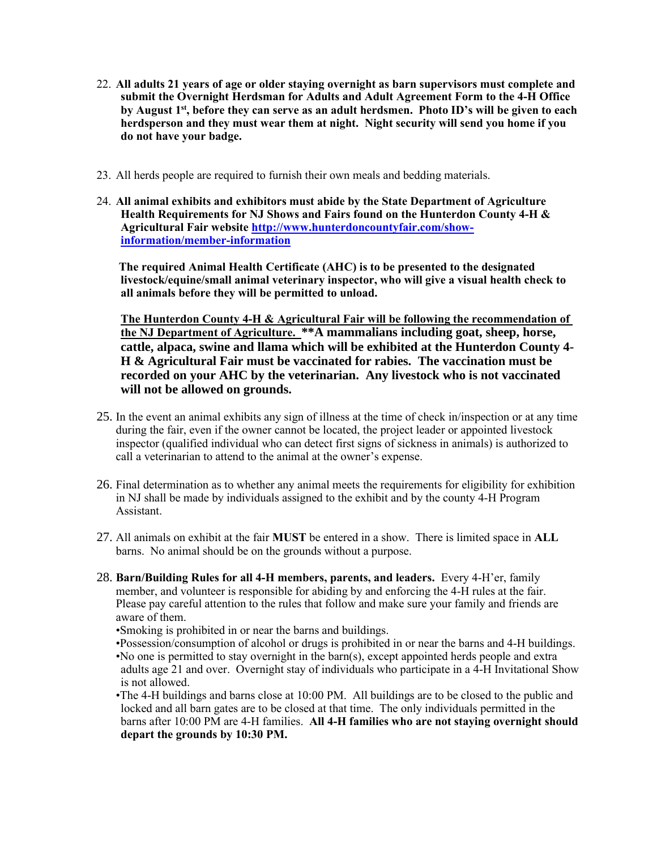- 22. **All adults 21 years of age or older staying overnight as barn supervisors must complete and submit the Overnight Herdsman for Adults and Adult Agreement Form to the 4-H Office by August 1st , before they can serve as an adult herdsmen. Photo ID's will be given to each herdsperson and they must wear them at night. Night security will send you home if you do not have your badge.**
- 23. All herds people are required to furnish their own meals and bedding materials.
- 24. **All animal exhibits and exhibitors must abide by the State Department of Agriculture Health Requirements for NJ Shows and Fairs found on the Hunterdon County 4-H & Agricultural Fair website [http://www.hunterdoncountyfair.com/show](http://www.hunterdoncountyfair.com/show-information/member-information)[information/member-information](http://www.hunterdoncountyfair.com/show-information/member-information)**

**The required Animal Health Certificate (AHC) is to be presented to the designated livestock/equine/small animal veterinary inspector, who will give a visual health check to all animals before they will be permitted to unload.**

**The Hunterdon County 4-H & Agricultural Fair will be following the recommendation of the NJ Department of Agriculture. \*\*A mammalians including goat, sheep, horse, cattle, alpaca, swine and llama which will be exhibited at the Hunterdon County 4- H & Agricultural Fair must be vaccinated for rabies. The vaccination must be recorded on your AHC by the veterinarian. Any livestock who is not vaccinated will not be allowed on grounds.**

- 25. In the event an animal exhibits any sign of illness at the time of check in/inspection or at any time during the fair, even if the owner cannot be located, the project leader or appointed livestock inspector (qualified individual who can detect first signs of sickness in animals) is authorized to call a veterinarian to attend to the animal at the owner's expense.
- 26. Final determination as to whether any animal meets the requirements for eligibility for exhibition in NJ shall be made by individuals assigned to the exhibit and by the county 4-H Program Assistant.
- 27. All animals on exhibit at the fair **MUST** be entered in a show. There is limited space in **ALL** barns. No animal should be on the grounds without a purpose.
- 28. **Barn/Building Rules for all 4-H members, parents, and leaders.** Every 4-H'er, family member, and volunteer is responsible for abiding by and enforcing the 4-H rules at the fair. Please pay careful attention to the rules that follow and make sure your family and friends are aware of them.
	- •Smoking is prohibited in or near the barns and buildings.
	- •Possession/consumption of alcohol or drugs is prohibited in or near the barns and 4-H buildings.
	- •No one is permitted to stay overnight in the barn(s), except appointed herds people and extra adults age 21 and over. Overnight stay of individuals who participate in a 4-H Invitational Show is not allowed.
	- •The 4-H buildings and barns close at 10:00 PM. All buildings are to be closed to the public and locked and all barn gates are to be closed at that time. The only individuals permitted in the barns after 10:00 PM are 4-H families. **All 4-H families who are not staying overnight should depart the grounds by 10:30 PM.**